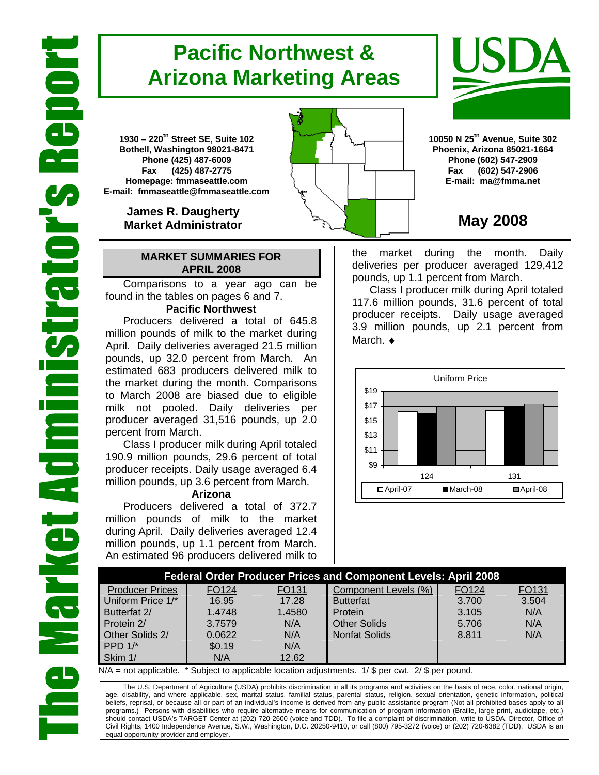# **Pacific Northwest & Arizona Marketing Areas**

**1930 – 220th Street SE, Suite 102 Bothell, Washington 98021-8471 Phone (425) 487-6009 Fax (425) 487-2775 Homepage: fmmaseattle.com E-mail: fmmaseattle@fmmaseattle.com**

> **James R. Daugherty Market Administrator**

#### **MARKET SUMMARIES FOR APRIL 2008**

 Comparisons to a year ago can be found in the tables on pages 6 and 7.

### **Pacific Northwest**

Producers delivered a total of 645.8 million pounds of milk to the market during April. Daily deliveries averaged 21.5 million pounds, up 32.0 percent from March. An estimated 683 producers delivered milk to the market during the month. Comparisons to March 2008 are biased due to eligible milk not pooled. Daily deliveries per producer averaged 31,516 pounds, up 2.0 percent from March.

Class I producer milk during April totaled 190.9 million pounds, 29.6 percent of total producer receipts. Daily usage averaged 6.4 million pounds, up 3.6 percent from March.

#### **Arizona**

Producers delivered a total of 372.7 million pounds of milk to the market during April. Daily deliveries averaged 12.4 million pounds, up 1.1 percent from March. An estimated 96 producers delivered milk to





**10050 N 25th Avenue, Suite 302 Phoenix, Arizona 85021-1664 Phone (602) 547-2909 Fax (602) 547-2906 E-mail: ma@fmma.net**

## **May 2008**

the market during the month. Daily deliveries per producer averaged 129,412 pounds, up 1.1 percent from March.

Class I producer milk during April totaled 117.6 million pounds, 31.6 percent of total producer receipts. Daily usage averaged 3.9 million pounds, up 2.1 percent from March. ♦



| <b>Federal Order Producer Prices and Component Levels: April 2008</b> |                   |                   |                      |       |       |  |  |  |  |
|-----------------------------------------------------------------------|-------------------|-------------------|----------------------|-------|-------|--|--|--|--|
| <b>Producer Prices</b>                                                | FO <sub>124</sub> | FO <sub>131</sub> | Component Levels (%) | FO124 | FO131 |  |  |  |  |
| Uniform Price 1/*                                                     | 16.95             | 17.28             | <b>Butterfat</b>     | 3.700 | 3.504 |  |  |  |  |
| Butterfat 2/                                                          | 1.4748            | 1.4580            | Protein              | 3.105 | N/A   |  |  |  |  |
| Protein 2/                                                            | 3.7579            | N/A               | <b>Other Solids</b>  | 5.706 | N/A   |  |  |  |  |
| Other Solids 2/                                                       | 0.0622            | N/A               | <b>Nonfat Solids</b> | 8.811 | N/A   |  |  |  |  |
| PPD $1$ <sup>*</sup>                                                  | \$0.19            | N/A               |                      |       |       |  |  |  |  |
| Skim 1/                                                               | N/A               | 12.62             |                      |       |       |  |  |  |  |

 $N/A$  = not applicable. \* Subject to applicable location adjustments. 1/ \$ per cwt. 2/ \$ per pound.

The U.S. Department of Agriculture (USDA) prohibits discrimination in all its programs and activities on the basis of race, color, national origin, age, disability, and where applicable, sex, marital status, familial status, parental status, religion, sexual orientation, genetic information, political beliefs, reprisal, or because all or part of an individual's income is derived from any public assistance program (Not all prohibited bases apply to all programs.) Persons with disabilities who require alternative means for communication of program information (Braille, large print, audiotape, etc.) should contact USDA's TARGET Center at (202) 720-2600 (voice and TDD). To file a complaint of discrimination, write to USDA, Director, Office of Civil Rights, 1400 Independence Avenue, S.W., Washington, D.C. 20250-9410, or call (800) 795-3272 (voice) or (202) 720-6382 (TDD). USDA is an equal opportunity provider and employer.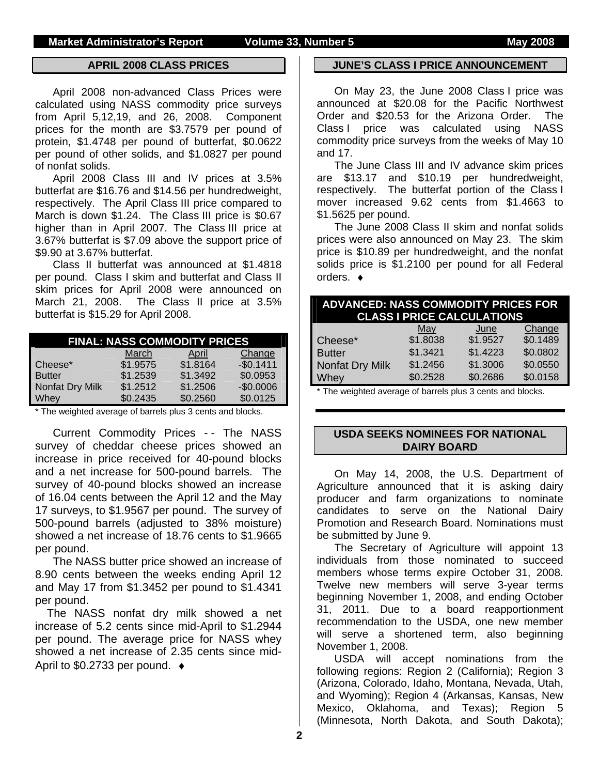#### **APRIL 2008 CLASS PRICES**

April 2008 non-advanced Class Prices were calculated using NASS commodity price surveys from April 5,12,19, and 26, 2008. Component prices for the month are \$3.7579 per pound of protein, \$1.4748 per pound of butterfat, \$0.0622 per pound of other solids, and \$1.0827 per pound of nonfat solids.

April 2008 Class III and IV prices at 3.5% butterfat are \$16.76 and \$14.56 per hundredweight, respectively. The April Class III price compared to March is down \$1.24. The Class III price is \$0.67 higher than in April 2007. The Class III price at 3.67% butterfat is \$7.09 above the support price of \$9.90 at 3.67% butterfat.

Class II butterfat was announced at \$1.4818 per pound. Class I skim and butterfat and Class II skim prices for April 2008 were announced on March 21, 2008. The Class II price at 3.5% butterfat is \$15.29 for April 2008.

| <b>FINAL: NASS COMMODITY PRICES</b> |          |          |            |  |  |  |  |
|-------------------------------------|----------|----------|------------|--|--|--|--|
|                                     | March    | April    | Change     |  |  |  |  |
| Cheese*                             | \$1.9575 | \$1.8164 | $-$0.1411$ |  |  |  |  |
| <b>Butter</b>                       | \$1.2539 | \$1.3492 | \$0.0953   |  |  |  |  |
| Nonfat Dry Milk                     | \$1.2512 | \$1.2506 | $-$0.0006$ |  |  |  |  |
| Whey                                | \$0.2435 | \$0.2560 | \$0.0125   |  |  |  |  |

\* The weighted average of barrels plus 3 cents and blocks.

Current Commodity Prices - - The NASS survey of cheddar cheese prices showed an increase in price received for 40-pound blocks and a net increase for 500-pound barrels. The survey of 40-pound blocks showed an increase of 16.04 cents between the April 12 and the May 17 surveys, to \$1.9567 per pound. The survey of 500-pound barrels (adjusted to 38% moisture) showed a net increase of 18.76 cents to \$1.9665 per pound.

The NASS butter price showed an increase of 8.90 cents between the weeks ending April 12 and May 17 from \$1.3452 per pound to \$1.4341 per pound.

The NASS nonfat dry milk showed a net increase of 5.2 cents since mid-April to \$1.2944 per pound. The average price for NASS whey showed a net increase of 2.35 cents since mid-April to \$0.2733 per pound. ♦

#### **JUNE'S CLASS I PRICE ANNOUNCEMENT**

On May 23, the June 2008 Class I price was announced at \$20.08 for the Pacific Northwest Order and \$20.53 for the Arizona Order. The Class I price was calculated using NASS commodity price surveys from the weeks of May 10 and 17.

The June Class III and IV advance skim prices are \$13.17 and \$10.19 per hundredweight, respectively. The butterfat portion of the Class I mover increased 9.62 cents from \$1.4663 to \$1.5625 per pound.

The June 2008 Class II skim and nonfat solids prices were also announced on May 23. The skim price is \$10.89 per hundredweight, and the nonfat solids price is \$1.2100 per pound for all Federal orders. ♦

| <b>ADVANCED: NASS COMMODITY PRICES FOR</b><br><b>CLASS I PRICE CALCULATIONS</b> |            |          |          |  |  |  |  |
|---------------------------------------------------------------------------------|------------|----------|----------|--|--|--|--|
|                                                                                 | <b>May</b> | June     | Change   |  |  |  |  |
| Cheese*                                                                         | \$1.8038   | \$1.9527 | \$0.1489 |  |  |  |  |
| <b>Butter</b>                                                                   | \$1.3421   | \$1.4223 | \$0.0802 |  |  |  |  |
| Nonfat Dry Milk                                                                 | \$1.2456   | \$1.3006 | \$0.0550 |  |  |  |  |
| Whey                                                                            | \$0.2528   | \$0.2686 | \$0.0158 |  |  |  |  |
| * The weighted average of barrels plus 3 cents and blocks                       |            |          |          |  |  |  |  |

The weighted average of barrels plus 3 cents and blocks.

### **USDA SEEKS NOMINEES FOR NATIONAL DAIRY BOARD**

On May 14, 2008, the U.S. Department of Agriculture announced that it is asking dairy producer and farm organizations to nominate candidates to serve on the National Dairy Promotion and Research Board. Nominations must be submitted by June 9.

The Secretary of Agriculture will appoint 13 individuals from those nominated to succeed members whose terms expire October 31, 2008. Twelve new members will serve 3-year terms beginning November 1, 2008, and ending October 31, 2011. Due to a board reapportionment recommendation to the USDA, one new member will serve a shortened term, also beginning November 1, 2008.

USDA will accept nominations from the following regions: Region 2 (California); Region 3 (Arizona, Colorado, Idaho, Montana, Nevada, Utah, and Wyoming); Region 4 (Arkansas, Kansas, New Mexico, Oklahoma, and Texas); Region 5 (Minnesota, North Dakota, and South Dakota);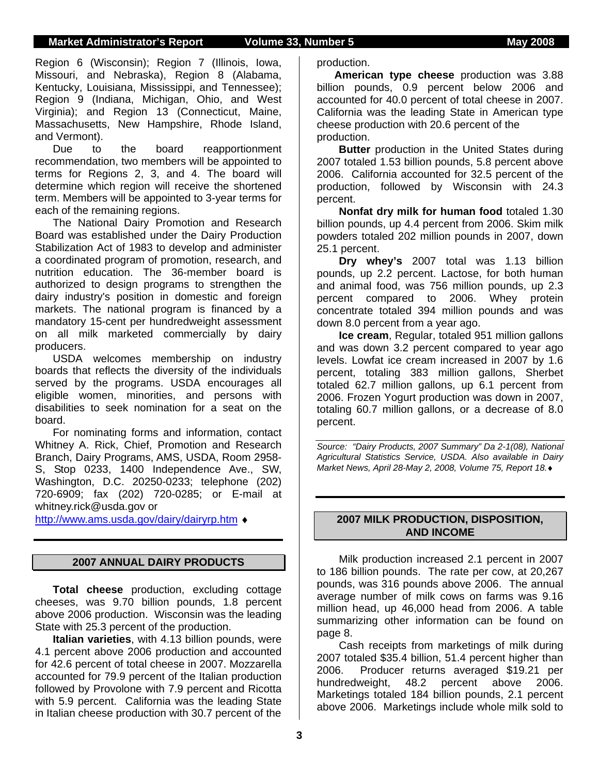#### **Market Administrator's Report Volume 33, Number 5 May 2008**

Region 6 (Wisconsin); Region 7 (Illinois, Iowa, Missouri, and Nebraska), Region 8 (Alabama, Kentucky, Louisiana, Mississippi, and Tennessee); Region 9 (Indiana, Michigan, Ohio, and West Virginia); and Region 13 (Connecticut, Maine, Massachusetts, New Hampshire, Rhode Island, and Vermont).

Due to the board reapportionment recommendation, two members will be appointed to terms for Regions 2, 3, and 4. The board will determine which region will receive the shortened term. Members will be appointed to 3-year terms for each of the remaining regions.

The National Dairy Promotion and Research Board was established under the Dairy Production Stabilization Act of 1983 to develop and administer a coordinated program of promotion, research, and nutrition education. The 36-member board is authorized to design programs to strengthen the dairy industry's position in domestic and foreign markets. The national program is financed by a mandatory 15-cent per hundredweight assessment on all milk marketed commercially by dairy producers.

USDA welcomes membership on industry boards that reflects the diversity of the individuals served by the programs. USDA encourages all eligible women, minorities, and persons with disabilities to seek nomination for a seat on the board.

For nominating forms and information, contact Whitney A. Rick, Chief, Promotion and Research Branch, Dairy Programs, AMS, USDA, Room 2958- S, Stop 0233, 1400 Independence Ave., SW, Washington, D.C. 20250-0233; telephone (202) 720-6909; fax (202) 720-0285; or E-mail at whitney.rick@usda.gov or

http://www.ams.usda.gov/dairy/dairyrp.htm ♦

#### **2007 ANNUAL DAIRY PRODUCTS**

**Total cheese** production, excluding cottage cheeses, was 9.70 billion pounds, 1.8 percent above 2006 production. Wisconsin was the leading State with 25.3 percent of the production.

 **Italian varieties**, with 4.13 billion pounds, were 4.1 percent above 2006 production and accounted for 42.6 percent of total cheese in 2007. Mozzarella accounted for 79.9 percent of the Italian production followed by Provolone with 7.9 percent and Ricotta with 5.9 percent. California was the leading State in Italian cheese production with 30.7 percent of the

production.

**American type cheese** production was 3.88 billion pounds, 0.9 percent below 2006 and accounted for 40.0 percent of total cheese in 2007. California was the leading State in American type cheese production with 20.6 percent of the production.

**Butter** production in the United States during 2007 totaled 1.53 billion pounds, 5.8 percent above 2006. California accounted for 32.5 percent of the production, followed by Wisconsin with 24.3 percent.

**Nonfat dry milk for human food** totaled 1.30 billion pounds, up 4.4 percent from 2006. Skim milk powders totaled 202 million pounds in 2007, down 25.1 percent.

**Dry whey's** 2007 total was 1.13 billion pounds, up 2.2 percent. Lactose, for both human and animal food, was 756 million pounds, up 2.3 percent compared to 2006. Whey protein concentrate totaled 394 million pounds and was down 8.0 percent from a year ago.

**Ice cream**, Regular, totaled 951 million gallons and was down 3.2 percent compared to year ago levels. Lowfat ice cream increased in 2007 by 1.6 percent, totaling 383 million gallons, Sherbet totaled 62.7 million gallons, up 6.1 percent from 2006. Frozen Yogurt production was down in 2007, totaling 60.7 million gallons, or a decrease of 8.0 percent.

*Source: "Dairy Products, 2007 Summary" Da 2-1(08), National Agricultural Statistics Service, USDA. Also available in Dairy Market News, April 28-May 2, 2008, Volume 75, Report 18.*♦

### **2007 MILK PRODUCTION, DISPOSITION, AND INCOME**

Milk production increased 2.1 percent in 2007 to 186 billion pounds. The rate per cow, at 20,267 pounds, was 316 pounds above 2006. The annual average number of milk cows on farms was 9.16 million head, up 46,000 head from 2006. A table summarizing other information can be found on page 8.

 Cash receipts from marketings of milk during 2007 totaled \$35.4 billion, 51.4 percent higher than 2006. Producer returns averaged \$19.21 per hundredweight, 48.2 percent above 2006. Marketings totaled 184 billion pounds, 2.1 percent above 2006. Marketings include whole milk sold to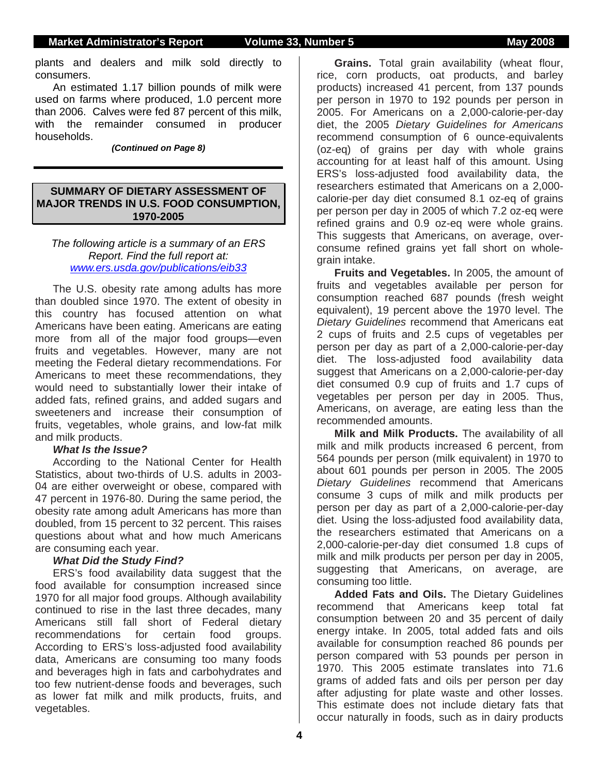plants and dealers and milk sold directly to consumers.

 An estimated 1.17 billion pounds of milk were used on farms where produced, 1.0 percent more than 2006. Calves were fed 87 percent of this milk, with the remainder consumed in producer households.

*(Continued on Page 8)* 

#### **SUMMARY OF DIETARY ASSESSMENT OF MAJOR TRENDS IN U.S. FOOD CONSUMPTION, 1970-2005**

### *The following article is a summary of an ERS Report. Find the full report at: www.ers.usda.gov/publications/eib33*

The U.S. obesity rate among adults has more than doubled since 1970. The extent of obesity in this country has focused attention on what Americans have been eating. Americans are eating more from all of the major food groups—even fruits and vegetables. However, many are not meeting the Federal dietary recommendations. For Americans to meet these recommendations, they would need to substantially lower their intake of added fats, refined grains, and added sugars and sweeteners and increase their consumption of fruits, vegetables, whole grains, and low-fat milk and milk products.

### *What Is the Issue?*

According to the National Center for Health Statistics, about two-thirds of U.S. adults in 2003- 04 are either overweight or obese, compared with 47 percent in 1976-80. During the same period, the obesity rate among adult Americans has more than doubled, from 15 percent to 32 percent. This raises questions about what and how much Americans are consuming each year.

### *What Did the Study Find?*

ERS's food availability data suggest that the food available for consumption increased since 1970 for all major food groups. Although availability continued to rise in the last three decades, many Americans still fall short of Federal dietary recommendations for certain food groups. According to ERS's loss-adjusted food availability data, Americans are consuming too many foods and beverages high in fats and carbohydrates and too few nutrient-dense foods and beverages, such as lower fat milk and milk products, fruits, and vegetables.

**Grains.** Total grain availability (wheat flour, rice, corn products, oat products, and barley products) increased 41 percent, from 137 pounds per person in 1970 to 192 pounds per person in 2005. For Americans on a 2,000-calorie-per-day diet, the 2005 *Dietary Guidelines for Americans*  recommend consumption of 6 ounce-equivalents (oz-eq) of grains per day with whole grains accounting for at least half of this amount. Using ERS's loss-adjusted food availability data, the researchers estimated that Americans on a 2,000 calorie-per day diet consumed 8.1 oz-eq of grains per person per day in 2005 of which 7.2 oz-eq were refined grains and 0.9 oz-eq were whole grains. This suggests that Americans, on average, overconsume refined grains yet fall short on wholegrain intake.

**Fruits and Vegetables.** In 2005, the amount of fruits and vegetables available per person for consumption reached 687 pounds (fresh weight equivalent), 19 percent above the 1970 level. The *Dietary Guidelines* recommend that Americans eat 2 cups of fruits and 2.5 cups of vegetables per person per day as part of a 2,000-calorie-per-day diet. The loss-adjusted food availability data suggest that Americans on a 2,000-calorie-per-day diet consumed 0.9 cup of fruits and 1.7 cups of vegetables per person per day in 2005. Thus, Americans, on average, are eating less than the recommended amounts.

**Milk and Milk Products.** The availability of all milk and milk products increased 6 percent, from 564 pounds per person (milk equivalent) in 1970 to about 601 pounds per person in 2005. The 2005 *Dietary Guidelines* recommend that Americans consume 3 cups of milk and milk products per person per day as part of a 2,000-calorie-per-day diet. Using the loss-adjusted food availability data, the researchers estimated that Americans on a 2,000-calorie-per-day diet consumed 1.8 cups of milk and milk products per person per day in 2005, suggesting that Americans, on average, are consuming too little.

**Added Fats and Oils.** The Dietary Guidelines recommend that Americans keep total fat consumption between 20 and 35 percent of daily energy intake. In 2005, total added fats and oils available for consumption reached 86 pounds per person compared with 53 pounds per person in 1970. This 2005 estimate translates into 71.6 grams of added fats and oils per person per day after adjusting for plate waste and other losses. This estimate does not include dietary fats that occur naturally in foods, such as in dairy products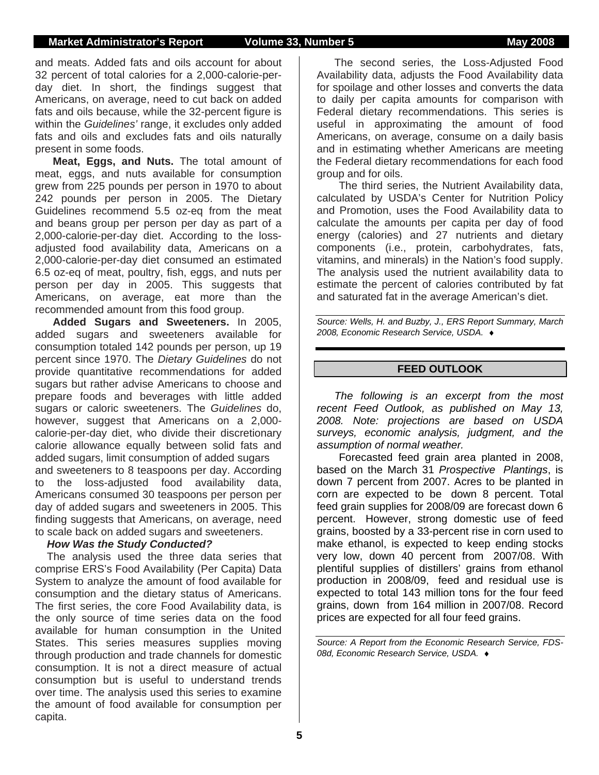and meats. Added fats and oils account for about 32 percent of total calories for a 2,000-calorie-perday diet. In short, the findings suggest that Americans, on average, need to cut back on added fats and oils because, while the 32-percent figure is within the *Guidelines'* range, it excludes only added fats and oils and excludes fats and oils naturally present in some foods.

**Meat, Eggs, and Nuts.** The total amount of meat, eggs, and nuts available for consumption grew from 225 pounds per person in 1970 to about 242 pounds per person in 2005. The Dietary Guidelines recommend 5.5 oz-eq from the meat and beans group per person per day as part of a 2,000-calorie-per-day diet. According to the lossadjusted food availability data, Americans on a 2,000-calorie-per-day diet consumed an estimated 6.5 oz-eq of meat, poultry, fish, eggs, and nuts per person per day in 2005. This suggests that Americans, on average, eat more than the recommended amount from this food group.

**Added Sugars and Sweeteners.** In 2005, added sugars and sweeteners available for consumption totaled 142 pounds per person, up 19 percent since 1970. The *Dietary Guidelines* do not provide quantitative recommendations for added sugars but rather advise Americans to choose and prepare foods and beverages with little added sugars or caloric sweeteners. The *Guidelines* do, however, suggest that Americans on a 2,000 calorie-per-day diet, who divide their discretionary calorie allowance equally between solid fats and added sugars, limit consumption of added sugars and sweeteners to 8 teaspoons per day. According to the loss-adjusted food availability data, Americans consumed 30 teaspoons per person per day of added sugars and sweeteners in 2005. This finding suggests that Americans, on average, need to scale back on added sugars and sweeteners.

#### *How Was the Study Conducted?*

The analysis used the three data series that comprise ERS's Food Availability (Per Capita) Data System to analyze the amount of food available for consumption and the dietary status of Americans. The first series, the core Food Availability data, is the only source of time series data on the food available for human consumption in the United States. This series measures supplies moving through production and trade channels for domestic consumption. It is not a direct measure of actual consumption but is useful to understand trends over time. The analysis used this series to examine the amount of food available for consumption per capita.

The second series, the Loss-Adjusted Food Availability data, adjusts the Food Availability data for spoilage and other losses and converts the data to daily per capita amounts for comparison with Federal dietary recommendations. This series is useful in approximating the amount of food Americans, on average, consume on a daily basis and in estimating whether Americans are meeting the Federal dietary recommendations for each food group and for oils.

 The third series, the Nutrient Availability data, calculated by USDA's Center for Nutrition Policy and Promotion, uses the Food Availability data to calculate the amounts per capita per day of food energy (calories) and 27 nutrients and dietary components (i.e., protein, carbohydrates, fats, vitamins, and minerals) in the Nation's food supply. The analysis used the nutrient availability data to estimate the percent of calories contributed by fat and saturated fat in the average American's diet.

*Source: Wells, H. and Buzby, J., ERS Report Summary, March 2008, Economic Research Service, USDA.* ♦

### **FEED OUTLOOK**

*The following is an excerpt from the most recent Feed Outlook, as published on May 13, 2008. Note: projections are based on USDA surveys, economic analysis, judgment, and the assumption of normal weather.* 

 Forecasted feed grain area planted in 2008, based on the March 31 *Prospective Plantings*, is down 7 percent from 2007. Acres to be planted in corn are expected to be down 8 percent. Total feed grain supplies for 2008/09 are forecast down 6 percent. However, strong domestic use of feed grains, boosted by a 33-percent rise in corn used to make ethanol, is expected to keep ending stocks very low, down 40 percent from 2007/08. With plentiful supplies of distillers' grains from ethanol production in 2008/09, feed and residual use is expected to total 143 million tons for the four feed grains, down from 164 million in 2007/08. Record prices are expected for all four feed grains.

*Source: A Report from the Economic Research Service, FDS-08d, Economic Research Service, USDA.* ♦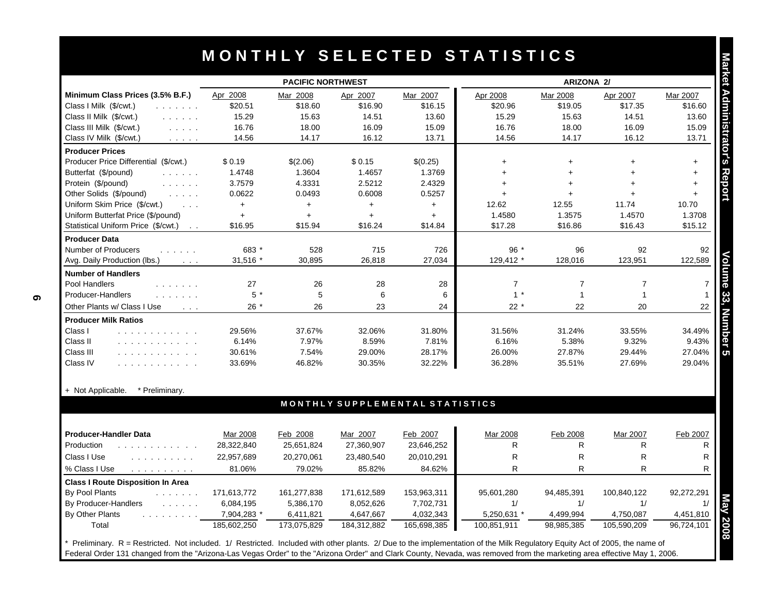|                                                                        |                          | <b>PACIFIC NORTHWEST</b> |                                 |                        |                | <b>ARIZONA 2/</b> |                |            |
|------------------------------------------------------------------------|--------------------------|--------------------------|---------------------------------|------------------------|----------------|-------------------|----------------|------------|
| Minimum Class Prices (3.5% B.F.)                                       | Apr 2008                 | Mar 2008                 | Apr 2007                        | Mar 2007               | Apr 2008       | Mar 2008          | Apr 2007       | Mar 2007   |
| Class I Milk (\$/cwt.)<br>and a straight and                           | \$20.51                  | \$18.60                  | \$16.90                         | \$16.15                | \$20.96        | \$19.05           | \$17.35        | \$16.60    |
| Class II Milk (\$/cwt.)<br>and a straight                              | 15.29                    | 15.63                    | 14.51                           | 13.60                  | 15.29          | 15.63             | 14.51          | 13.60      |
| Class III Milk (\$/cwt.)<br>$\mathbb{Z}^2$ . The set of $\mathbb{Z}^2$ | 16.76                    | 18.00                    | 16.09                           | 15.09                  | 16.76          | 18.00             | 16.09          | 15.09      |
| Class IV Milk (\$/cwt.)<br><b>Contractor</b>                           | 14.56                    | 14.17                    | 16.12                           | 13.71                  | 14.56          | 14.17             | 16.12          | 13.71      |
| <b>Producer Prices</b>                                                 |                          |                          |                                 |                        |                |                   |                |            |
| Producer Price Differential (\$/cwt.)                                  | \$0.19                   | \$(2.06)                 | \$0.15                          | \$(0.25)               | $\ddot{}$      | $\ddot{}$         | $\ddot{}$      | $+$        |
| Butterfat (\$/pound)<br>and a straight                                 | 1.4748                   | 1.3604                   | 1.4657                          | 1.3769                 | $+$            | $+$               |                | $\ddagger$ |
| Protein (\$/pound)<br>and a straight                                   | 3.7579                   | 4.3331                   | 2.5212                          | 2.4329                 | $+$            | $+$               |                | $\ddot{}$  |
| Other Solids (\$/pound)                                                | 0.0622                   | 0.0493                   | 0.6008                          | 0.5257                 | $\ddot{}$      | $+$               |                | $+$        |
| Uniform Skim Price (\$/cwt.)<br>$\sim 100$ km $^{-1}$                  | $+$                      | $+$                      | $+$                             | $+$                    | 12.62          | 12.55             | 11.74          | 10.70      |
| Uniform Butterfat Price (\$/pound)                                     | $+$                      | $\ddot{}$                | $+$                             | $+$                    | 1.4580         | 1.3575            | 1.4570         | 1.3708     |
| Statistical Uniform Price (\$/cwt.)<br>$\sim$ $\sim$                   | \$16.95                  | \$15.94                  | \$16.24                         | \$14.84                | \$17.28        | \$16.86           | \$16.43        | \$15.12    |
| <b>Producer Data</b>                                                   |                          |                          |                                 |                        |                |                   |                |            |
| Number of Producers<br>and a strain and                                | 683 *                    | 528                      | 715                             | 726                    | $96*$          | 96                | 92             | 92         |
| Avg. Daily Production (lbs.)<br>$\sim 100$ km s $^{-1}$                | 31.516 *                 | 30.895                   | 26.818                          | 27.034                 | 129.412 *      | 128.016           | 123.951        | 122.589    |
| <b>Number of Handlers</b>                                              |                          |                          |                                 |                        |                |                   |                |            |
| Pool Handlers                                                          | 27                       | 26                       | 28                              | 28                     | $\overline{7}$ | $\overline{7}$    | $\overline{7}$ |            |
| Producer-Handlers                                                      | $5*$                     | 5                        | 6                               | 6                      | $1 *$          | $\mathbf{1}$      | $\mathbf{1}$   |            |
| Other Plants w/ Class I Use<br>$\sim 100$ $\mu$                        | $26*$                    | 26                       | 23                              | 24                     | $22 *$         | 22                | 20             | 22         |
| <b>Producer Milk Ratios</b>                                            |                          |                          |                                 |                        |                |                   |                |            |
| Class I<br>.                                                           | 29.56%                   | 37.67%                   | 32.06%                          | 31.80%                 | 31.56%         | 31.24%            | 33.55%         | 34.49%     |
| Class II<br>.                                                          | 6.14%                    | 7.97%                    | 8.59%                           | 7.81%                  | 6.16%          | 5.38%             | 9.32%          | 9.43%      |
| Class III<br>.                                                         | 30.61%                   | 7.54%                    | 29.00%                          | 28.17%                 | 26.00%         | 27.87%            | 29.44%         | 27.04%     |
| Class IV<br>.                                                          | 33.69%                   | 46.82%                   | 30.35%                          | 32.22%                 | 36.28%         | 35.51%            | 27.69%         | 29.04%     |
| + Not Applicable.<br>* Preliminary.                                    |                          |                          |                                 |                        |                |                   |                |            |
|                                                                        |                          |                          | MONTHLY SUPPLEMENTAL STATISTICS |                        |                |                   |                |            |
| <b>Producer-Handler Data</b>                                           | Mar 2008                 | Feb 2008                 | Mar 2007                        | Feb 2007               | Mar 2008       | Feb 2008          | Mar 2007       | Feb 2007   |
| Production<br>and a contract and a contract of                         | 28,322,840               | 25,651,824               | 27,360,907                      | 23,646,252             | R              | R.                | $\mathsf{R}$   |            |
| Class I Use<br>.                                                       | 22,957,689               | 20,270,061               | 23,480,540                      | 20,010,291             | R              | $\mathsf{R}$      | $\mathsf{R}$   |            |
| % Class I Use<br>and a series and a series                             | 81.06%                   | 79.02%                   | 85.82%                          | 84.62%                 | $\mathsf{R}$   | R                 | R              |            |
| <b>Class I Route Disposition In Area</b>                               |                          |                          |                                 |                        |                |                   |                |            |
| By Pool Plants<br>a a a a a a a                                        | 171,613,772              | 161,277,838              | 171,612,589                     | 153,963,311            | 95,601,280     | 94,485,391        | 100,840,122    | 92,272,291 |
|                                                                        |                          |                          |                                 |                        |                |                   |                |            |
| and a straight                                                         |                          | 5,386,170                |                                 |                        | 1/             | 1/                | 1/             |            |
| By Producer-Handlers<br>By Other Plants<br>.                           | 6,084,195<br>7,904,283 * | 6,411,821                | 8,052,626<br>4,647,667          | 7,702,731<br>4,032,343 | 5,250,631 *    | 4,499,994         | 4,750,087      | 4,451,810  |

| <b>Producer-Handler Data</b>             | Mar 2008    | Feb 2008    | Mar 2007    | Feb 2007    | Mar 2008    | Feb 2008   | Mar 2007    | Feb 2007   |
|------------------------------------------|-------------|-------------|-------------|-------------|-------------|------------|-------------|------------|
| Production<br>.                          | 28,322,840  | 25,651,824  | 27,360,907  | 23,646,252  | R           | R          | R           |            |
| Class I Use                              | 22,957,689  | 20,270,061  | 23,480,540  | 20,010,291  | R           | R          | R           |            |
| % Class I Use<br>.                       | 81.06%      | 79.02%      | 85.82%      | 84.62%      | R           | R          | R           |            |
| <b>Class I Route Disposition In Area</b> |             |             |             |             |             |            |             |            |
| By Pool Plants<br>and the second control | 171,613,772 | 161,277,838 | 171,612,589 | 153,963,311 | 95.601.280  | 94.485.391 | 100,840,122 | 92,272,291 |
| By Producer-Handlers                     | 6.084.195   | 5,386,170   | 8,052,626   | 7,702,731   |             |            |             |            |
| By Other Plants<br>.                     | 7,904,283 * | 6,411,821   | 4,647,667   | 4,032,343   | 5,250,631   | 4,499,994  | 4,750,087   | 4,451,810  |
| Total                                    | 185,602,250 | 173,075,829 | 184.312.882 | 165,698,385 | 100,851,911 | 98,985,385 | 105,590,209 | 96,724,101 |

\* Preliminary. R = Restricted. Not included. 1/ Restricted. Included with other plants. 2/ Due to the implementation of the Milk Regulatory Equity Act of 2005, the name of Federal Order 131 changed from the "Arizona-Las Vegas Order" to the "Arizona Order" and Clark County, Nevada, was removed from the marketing area effective May 1, 2006.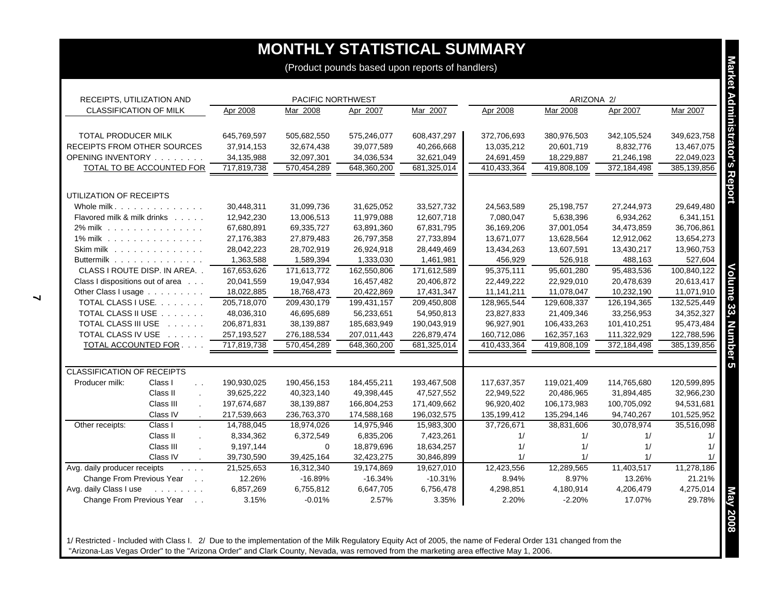| RECEIPTS, UTILIZATION AND                                       |             | PACIFIC NORTHWEST |             |             |             | ARIZONA 2/  |               |              |
|-----------------------------------------------------------------|-------------|-------------------|-------------|-------------|-------------|-------------|---------------|--------------|
| <b>CLASSIFICATION OF MILK</b>                                   | Apr 2008    | Mar 2008          | Apr 2007    | Mar 2007    | Apr 2008    | Mar 2008    | Apr 2007      | Mar 2007     |
|                                                                 |             |                   |             |             |             |             |               |              |
| TOTAL PRODUCER MILK                                             | 645,769,597 | 505,682,550       | 575,246,077 | 608,437,297 | 372,706,693 | 380,976,503 | 342,105,524   | 349,623,758  |
| RECEIPTS FROM OTHER SOURCES                                     | 37,914,153  | 32,674,438        | 39,077,589  | 40,266,668  | 13,035,212  | 20,601,719  | 8,832,776     | 13,467,075   |
| OPENING INVENTORY                                               | 34,135,988  | 32,097,301        | 34,036,534  | 32,621,049  | 24,691,459  | 18,229,887  | 21,246,198    | 22,049,023   |
| TOTAL TO BE ACCOUNTED FOR                                       | 717,819,738 | 570,454,289       | 648,360,200 | 681,325,014 | 410,433,364 | 419,808,109 | 372,184,498   | 385,139,856  |
|                                                                 |             |                   |             |             |             |             |               |              |
| UTILIZATION OF RECEIPTS                                         |             |                   |             |             |             |             |               |              |
| Whole milk.                                                     | 30,448,311  | 31,099,736        | 31,625,052  | 33,527,732  | 24,563,589  | 25,198,757  | 27,244,973    | 29,649,480   |
| Flavored milk & milk drinks                                     | 12,942,230  | 13,006,513        | 11,979,088  | 12,607,718  | 7,080,047   | 5,638,396   | 6,934,262     | 6,341,151    |
| 2% milk                                                         | 67,680,891  | 69,335,727        | 63,891,360  | 67,831,795  | 36,169,206  | 37,001,054  | 34,473,859    | 36,706,861   |
| 1% milk                                                         | 27,176,383  | 27,879,483        | 26,797,358  | 27,733,894  | 13,671,077  | 13,628,564  | 12,912,062    | 13,654,273   |
| Skim milk                                                       | 28,042,223  | 28,702,919        | 26,924,918  | 28,449,469  | 13,434,263  | 13,607,591  | 13,430,217    | 13,960,753   |
| Buttermilk                                                      | 1,363,588   | 1,589,394         | 1,333,030   | 1,461,981   | 456,929     | 526,918     | 488,163       | 527,604      |
| CLASS I ROUTE DISP. IN AREA                                     | 167,653,626 | 171,613,772       | 162,550,806 | 171,612,589 | 95,375,111  | 95,601,280  | 95,483,536    | 100,840,122  |
| Class I dispositions out of area                                | 20,041,559  | 19,047,934        | 16,457,482  | 20,406,872  | 22,449,222  | 22,929,010  | 20,478,639    | 20,613,417   |
| Other Class I usage                                             | 18,022,885  | 18,768,473        | 20,422,869  | 17,431,347  | 11,141,211  | 11,078,047  | 10,232,190    | 11,071,910   |
| TOTAL CLASS I USE.                                              | 205,718,070 | 209,430,179       | 199,431,157 | 209,450,808 | 128,965,544 | 129,608,337 | 126, 194, 365 | 132,525,449  |
| TOTAL CLASS II USE                                              | 48,036,310  | 46,695,689        | 56,233,651  | 54,950,813  | 23,827,833  | 21,409,346  | 33,256,953    | 34, 352, 327 |
| TOTAL CLASS III USE                                             | 206,871,831 | 38,139,887        | 185,683,949 | 190,043,919 | 96,927,901  | 106,433,263 | 101,410,251   | 95,473,484   |
| TOTAL CLASS IV USE                                              | 257,193,527 | 276,188,534       | 207,011,443 | 226,879,474 | 160,712,086 | 162,357,163 | 111,322,929   | 122,788,596  |
| TOTAL ACCOUNTED FOR                                             | 717,819,738 | 570,454,289       | 648,360,200 | 681,325,014 | 410,433,364 | 419,808,109 | 372,184,498   | 385,139,856  |
| <b>CLASSIFICATION OF RECEIPTS</b>                               |             |                   |             |             |             |             |               |              |
| Class I<br>Producer milk:<br>$\sim$ $\sim$                      | 190,930,025 | 190,456,153       | 184,455,211 | 193,467,508 | 117,637,357 | 119,021,409 | 114,765,680   | 120,599,895  |
| Class II<br>$\mathcal{L}$                                       | 39,625,222  | 40,323,140        | 49,398,445  | 47.527.552  | 22,949,522  | 20,486,965  | 31,894,485    | 32,966,230   |
| Class III                                                       | 197,674,687 | 38,139,887        | 166,804,253 | 171,409,662 | 96,920,402  | 106,173,983 | 100,705,092   | 94,531,681   |
| Class IV                                                        | 217,539,663 | 236,763,370       | 174,588,168 | 196,032,575 | 135,199,412 | 135,294,146 | 94,740,267    | 101,525,952  |
| Class I<br>Other receipts:<br>$\mathbf{r}$                      | 14,788,045  | 18,974,026        | 14,975,946  | 15,983,300  | 37,726,671  | 38,831,606  | 30,078,974    | 35,516,098   |
| Class II<br>$\sim$                                              | 8,334,362   | 6,372,549         | 6,835,206   | 7,423,261   | 1/          | 1/          | 1/            |              |
| Class III                                                       | 9,197,144   | $\mathbf 0$       | 18,879,696  | 18,634,257  | 1/          | 1/          | 1/            |              |
| Class IV<br>$\sim$                                              | 39,730,590  | 39,425,164        | 32,423,275  | 30,846,899  | 1/          | 1/          | 1/            |              |
| Avg. daily producer receipts<br>$\cdot$ $\cdot$ $\cdot$ $\cdot$ | 21,525,653  | 16,312,340        | 19,174,869  | 19,627,010  | 12,423,556  | 12,289,565  | 11,403,517    | 11,278,186   |
| Change From Previous Year                                       | 12.26%      | $-16.89%$         | $-16.34%$   | $-10.31%$   | 8.94%       | 8.97%       | 13.26%        | 21.21%       |
| Avg. daily Class I use<br><u>.</u>                              | 6,857,269   | 6,755,812         | 6,647,705   | 6,756,478   | 4,298,851   | 4,180,914   | 4,206,479     | 4,275,014    |
| Change From Previous Year                                       | 3.15%       | $-0.01%$          | 2.57%       | 3.35%       | 2.20%       | $-2.20%$    | 17.07%        | 29.78%       |

1/ Restricted - Included with Class I. 2/ Due to the implementation of the Milk Regulatory Equity Act of 2005, the name of Federal Order 131 changed from the "Arizona-Las Vegas Order" to the "Arizona Order" and Clark County, Nevada, was removed from the marketing area effective May 1, 2006.